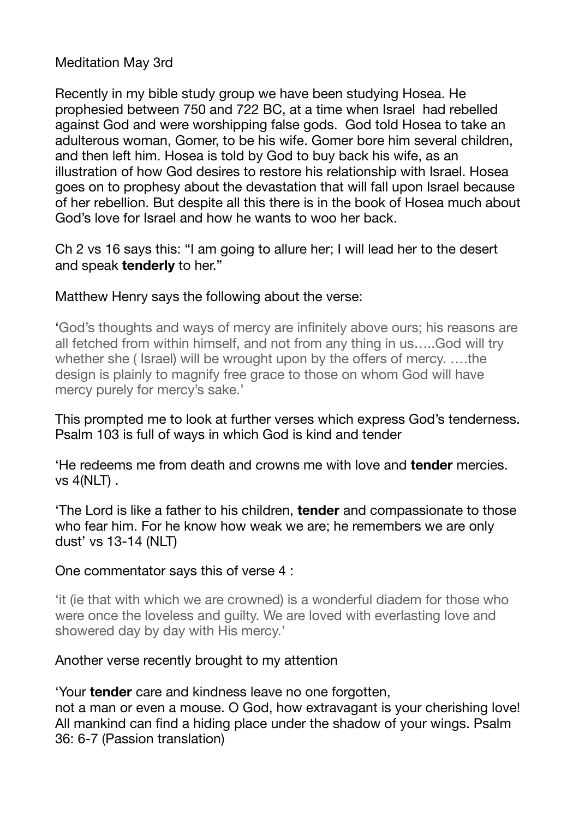## Meditation May 3rd

Recently in my bible study group we have been studying Hosea. He prophesied between 750 and 722 BC, at a time when Israel had rebelled against God and were worshipping false gods. God told Hosea to take an adulterous woman, Gomer, to be his wife. Gomer bore him several children, and then left him. Hosea is told by God to buy back his wife, as an illustration of how God desires to restore his relationship with Israel. Hosea goes on to prophesy about the devastation that will fall upon Israel because of her rebellion. But despite all this there is in the book of Hosea much about God's love for Israel and how he wants to woo her back.

Ch 2 vs 16 says this: "I am going to allure her; I will lead her to the desert and speak **tenderly** to her."

## Matthew Henry says the following about the verse:

'God's thoughts and ways of mercy are infinitely above ours; his reasons are all fetched from within himself, and not from any thing in us…..God will try whether she ( Israel) will be wrought upon by the offers of mercy. ….the design is plainly to magnify free grace to those on whom God will have mercy purely for mercy's sake.'

This prompted me to look at further verses which express God's tenderness. Psalm 103 is full of ways in which God is kind and tender

'He redeems me from death and crowns me with love and **tender** mercies. vs 4(NLT) .

'The Lord is like a father to his children, **tender** and compassionate to those who fear him. For he know how weak we are; he remembers we are only dust' vs 13-14 (NLT)

## One commentator says this of verse 4 :

'it (ie that with which we are crowned) is a wonderful diadem for those who were once the loveless and guilty. We are loved with everlasting love and showered day by day with His mercy.'

## Another verse recently brought to my attention

'Your **tender** care and kindness leave no one forgotten, not a man or even a mouse. O God, how extravagant is your cherishing love! All mankind can find a hiding place under the shadow of your wings. Psalm 36: 6-7 (Passion translation)